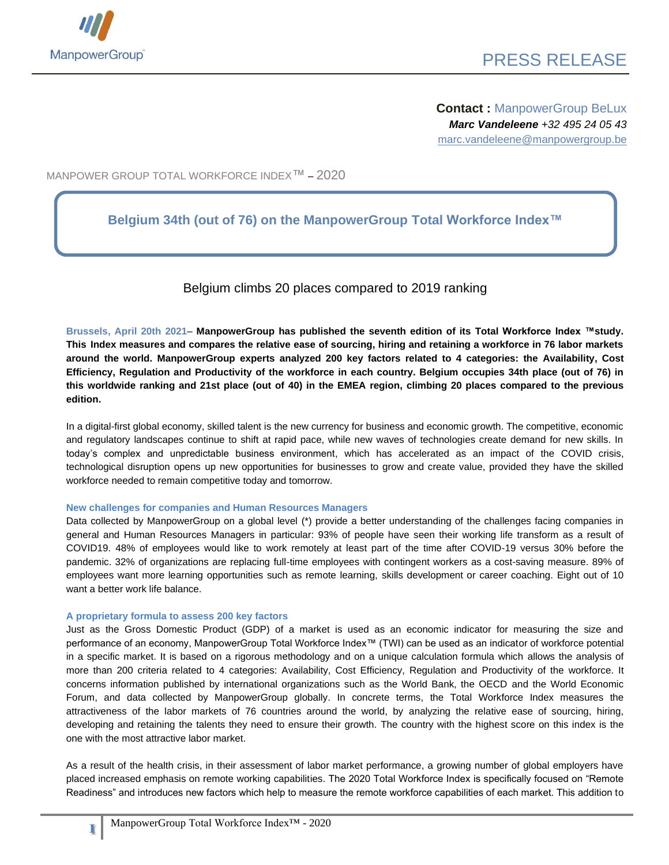

**Contact :** ManpowerGroup BeLux *Marc Vandeleene +32 495 24 05 43* marc.vandeleene@manpowergroup.be

MANPOWER GROUP TOTAL WORKFORCE INDEX™ – 2020

#### **Belgium 34th (out of 76) on the ManpowerGroup Total Workforce Index™**

#### Belgium climbs 20 places compared to 2019 ranking

**Brussels, April 20th 2021**– **ManpowerGroup has published the seventh edition of its Total Workforce Index ™study. This Index measures and compares the relative ease of sourcing, hiring and retaining a workforce in 76 labor markets around the world. ManpowerGroup experts analyzed 200 key factors related to 4 categories: the Availability, Cost Efficiency, Regulation and Productivity of the workforce in each country. Belgium occupies 34th place (out of 76) in this worldwide ranking and 21st place (out of 40) in the EMEA region, climbing 20 places compared to the previous edition.**

In a digital-first global economy, skilled talent is the new currency for business and economic growth. The competitive, economic and regulatory landscapes continue to shift at rapid pace, while new waves of technologies create demand for new skills. In today's complex and unpredictable business environment, which has accelerated as an impact of the COVID crisis, technological disruption opens up new opportunities for businesses to grow and create value, provided they have the skilled workforce needed to remain competitive today and tomorrow.

#### **New challenges for companies and Human Resources Managers**

Data collected by ManpowerGroup on a global level (\*) provide a better understanding of the challenges facing companies in general and Human Resources Managers in particular: 93% of people have seen their working life transform as a result of COVID19. 48% of employees would like to work remotely at least part of the time after COVID-19 versus 30% before the pandemic. 32% of organizations are replacing full-time employees with contingent workers as a cost-saving measure. 89% of employees want more learning opportunities such as remote learning, skills development or career coaching. Eight out of 10 want a better work life balance.

#### **A proprietary formula to assess 200 key factors**

**1**

Just as the Gross Domestic Product (GDP) of a market is used as an economic indicator for measuring the size and performance of an economy, ManpowerGroup Total Workforce Index™ (TWI) can be used as an indicator of workforce potential in a specific market. It is based on a rigorous methodology and on a unique calculation formula which allows the analysis of more than 200 criteria related to 4 categories: Availability, Cost Efficiency, Regulation and Productivity of the workforce. It concerns information published by international organizations such as the World Bank, the OECD and the World Economic Forum, and data collected by ManpowerGroup globally. In concrete terms, the Total Workforce Index measures the attractiveness of the labor markets of 76 countries around the world, by analyzing the relative ease of sourcing, hiring, developing and retaining the talents they need to ensure their growth. The country with the highest score on this index is the one with the most attractive labor market.

As a result of the health crisis, in their assessment of labor market performance, a growing number of global employers have placed increased emphasis on remote working capabilities. The 2020 Total Workforce Index is specifically focused on "Remote Readiness" and introduces new factors which help to measure the remote workforce capabilities of each market. This addition to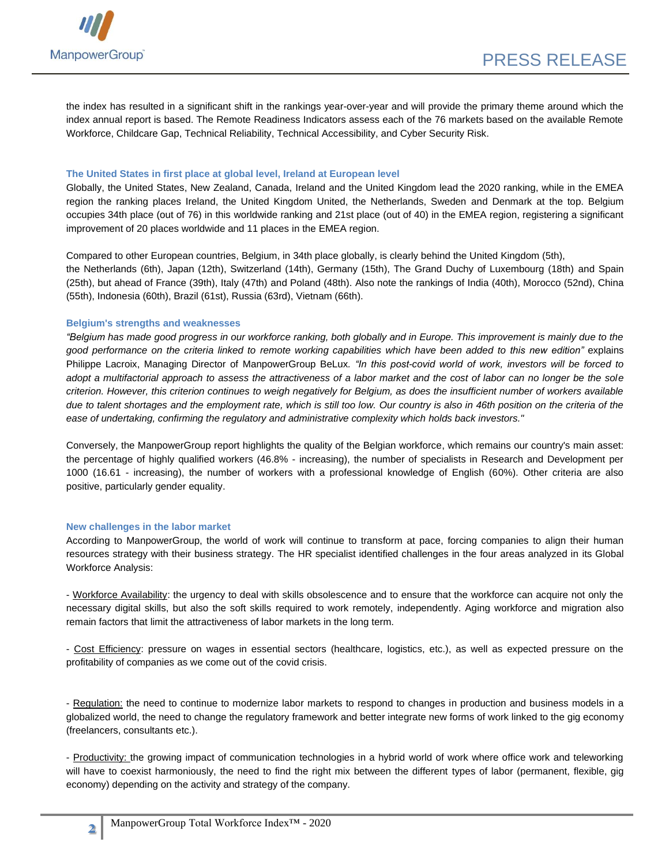

the index has resulted in a significant shift in the rankings year-over-year and will provide the primary theme around which the index annual report is based. The Remote Readiness Indicators assess each of the 76 markets based on the available Remote Workforce, Childcare Gap, Technical Reliability, Technical Accessibility, and Cyber Security Risk.

#### **The United States in first place at global level, Ireland at European level**

Globally, the United States, New Zealand, Canada, Ireland and the United Kingdom lead the 2020 ranking, while in the EMEA region the ranking places Ireland, the United Kingdom United, the Netherlands, Sweden and Denmark at the top. Belgium occupies 34th place (out of 76) in this worldwide ranking and 21st place (out of 40) in the EMEA region, registering a significant improvement of 20 places worldwide and 11 places in the EMEA region.

Compared to other European countries, Belgium, in 34th place globally, is clearly behind the United Kingdom (5th), the Netherlands (6th), Japan (12th), Switzerland (14th), Germany (15th), The Grand Duchy of Luxembourg (18th) and Spain (25th), but ahead of France (39th), Italy (47th) and Poland (48th). Also note the rankings of India (40th), Morocco (52nd), China (55th), Indonesia (60th), Brazil (61st), Russia (63rd), Vietnam (66th).

#### **Belgium's strengths and weaknesses**

*"Belgium has made good progress in our workforce ranking, both globally and in Europe. This improvement is mainly due to the good performance on the criteria linked to remote working capabilities which have been added to this new edition"* explains Philippe Lacroix, Managing Director of ManpowerGroup BeLux*. "In this post-covid world of work, investors will be forced to adopt a multifactorial approach to assess the attractiveness of a labor market and the cost of labor can no longer be the sole criterion. However, this criterion continues to weigh negatively for Belgium, as does the insufficient number of workers available due to talent shortages and the employment rate, which is still too low. Our country is also in 46th position on the criteria of the ease of undertaking, confirming the regulatory and administrative complexity which holds back investors."*

Conversely, the ManpowerGroup report highlights the quality of the Belgian workforce, which remains our country's main asset: the percentage of highly qualified workers (46.8% - increasing), the number of specialists in Research and Development per 1000 (16.61 - increasing), the number of workers with a professional knowledge of English (60%). Other criteria are also positive, particularly gender equality.

#### **New challenges in the labor market**

According to ManpowerGroup, the world of work will continue to transform at pace, forcing companies to align their human resources strategy with their business strategy. The HR specialist identified challenges in the four areas analyzed in its Global Workforce Analysis:

- Workforce Availability: the urgency to deal with skills obsolescence and to ensure that the workforce can acquire not only the necessary digital skills, but also the soft skills required to work remotely, independently. Aging workforce and migration also remain factors that limit the attractiveness of labor markets in the long term.

- Cost Efficiency: pressure on wages in essential sectors (healthcare, logistics, etc.), as well as expected pressure on the profitability of companies as we come out of the covid crisis.

- Regulation: the need to continue to modernize labor markets to respond to changes in production and business models in a globalized world, the need to change the regulatory framework and better integrate new forms of work linked to the gig economy (freelancers, consultants etc.).

- Productivity: the growing impact of communication technologies in a hybrid world of work where office work and teleworking will have to coexist harmoniously, the need to find the right mix between the different types of labor (permanent, flexible, gig economy) depending on the activity and strategy of the company.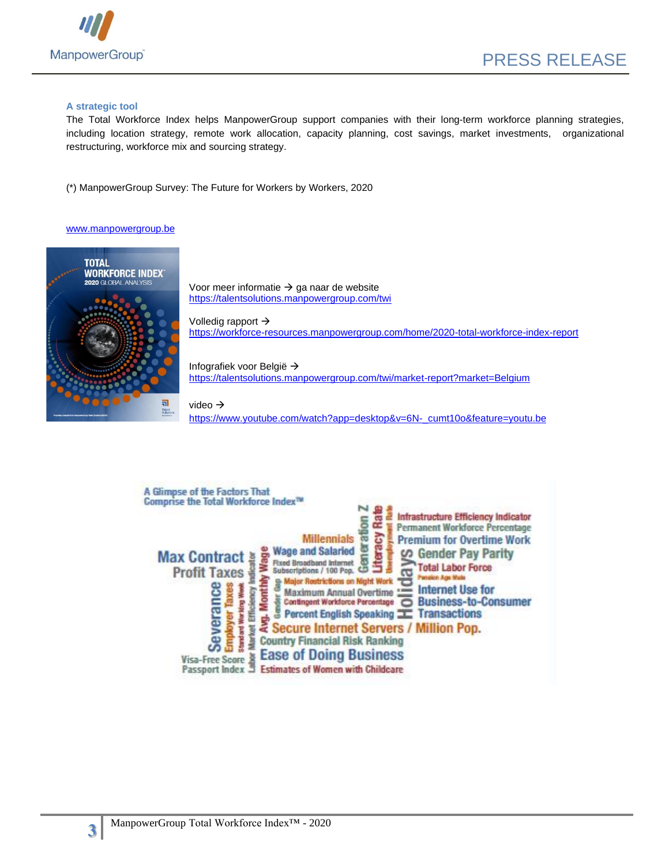

#### **A strategic tool**

The Total Workforce Index helps ManpowerGroup support companies with their long-term workforce planning strategies, including location strategy, remote work allocation, capacity planning, cost savings, market investments, organizational restructuring, workforce mix and sourcing strategy.

(\*) ManpowerGroup Survey: The Future for Workers by Workers, 2020

#### [www.manpowergroup.be](http://www.manpowergroup.be/)



Voor meer informatie  $\rightarrow$  ga naar de website <https://talentsolutions.manpowergroup.com/twi>

Volledig rapport → <https://workforce-resources.manpowergroup.com/home/2020-total-workforce-index-report>

Infografiek voor België → http[s://talentsolutions.manpowergroup.com/twi/market-report?market=Belgium](https://talentsolutions.manpowergroup.com/twi/market-report?market=Belgium)

video → http[s://www.youtube.com/watch?app=desktop&v=6N-\\_cumt10o&feature=youtu.be](https://www.youtube.com/watch?app=desktop&v=6N-_cumt10o&feature=youtu.be)

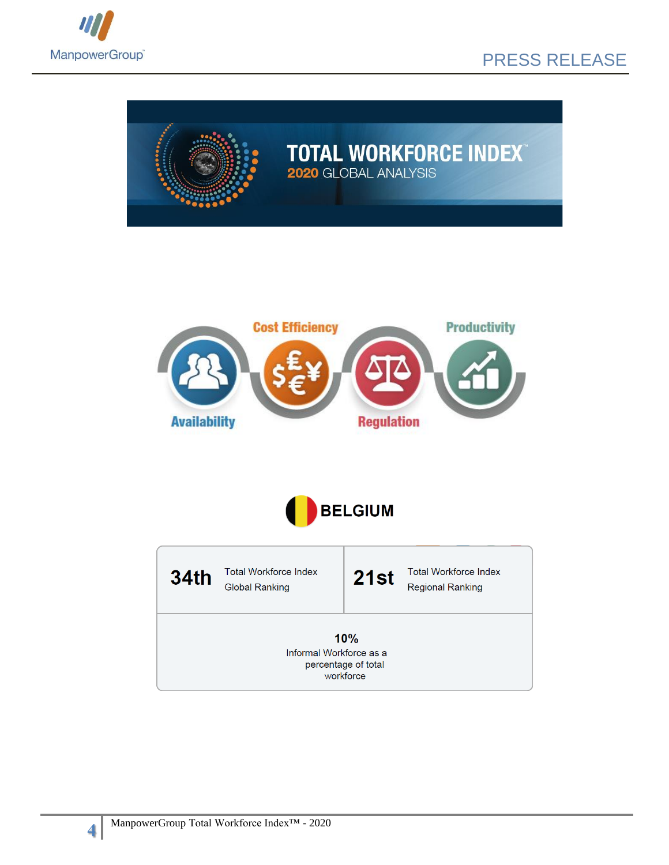

## PRESS RELEASE



# **TOTAL WORKFORCE INDEX<sup>®</sup>**





Total Workforce Index **34th**  $21st$ **Global Ranking** 

Total Workforce Index

**Regional Ranking** 

10% Informal Workforce as a percentage of total workforce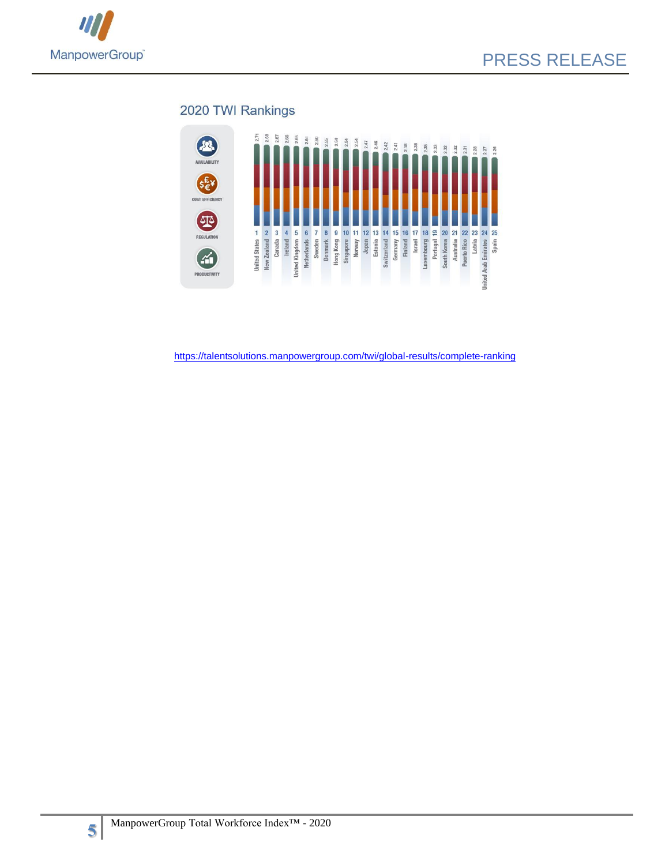

### 2020 TWI Rankings



<https://talentsolutions.manpowergroup.com/twi/global-results/complete-ranking>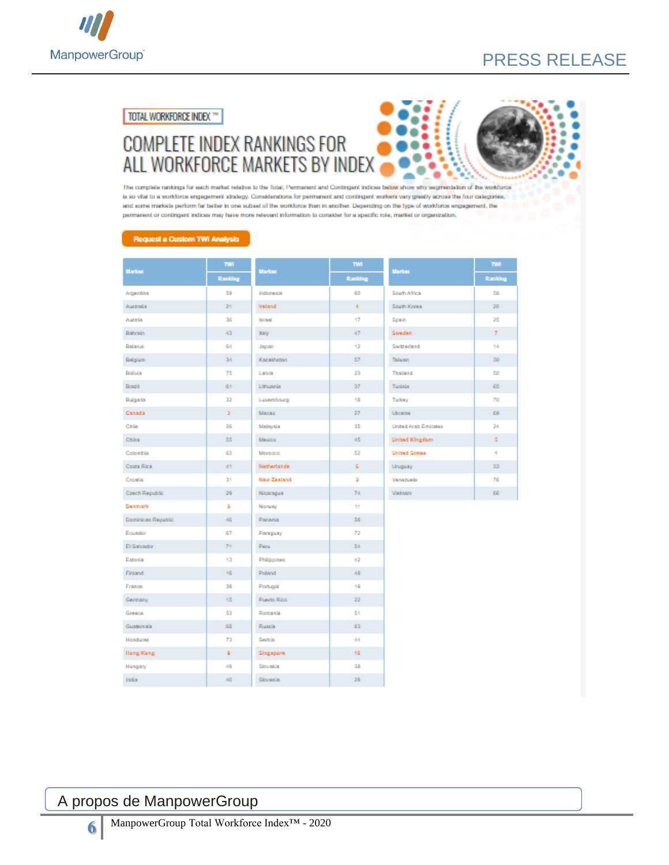

## PRESS RELEASE

TOTAL WORKFORCE INDEX \*\*

## **COMPLETE INDEX RANKINGS FOR** ALL WORKFORCE MARKETS BY INDEX



The complete nankings for each market relative to the Total, Permanent and Contingent indices below show why segmentation of the workforce is so vital to a workforce engagement strategy. Considerations for permanent and contingent workers vary greatly across the four categories, and some markets perform far better in one subset of the workforce than in another. Depending on the type of workforce engagement, the permanent or contingent indices may have more relevant information to consider for a specific role, market or organization.

#### Request a Custom TWI Analysis

| <b>Market</b>      | THE     | <b>Market</b>      | TMT     | <b>Market</b>         | TWI     |
|--------------------|---------|--------------------|---------|-----------------------|---------|
|                    | Ranking |                    | Ranking |                       | Ranking |
| Argentina          | 59      | Indonesia          | 60      | South Africa          | 50      |
| Australia          | 21      | Instand            | Æ.      | South Korea           | 30      |
| Austria            | 26      | <b>Income</b>      | 17      | Spain                 | 25      |
| Bahrain            | 43      | <b>Italy</b>       | 47      | <b>Sweden</b>         | 7.      |
| Belanus.           | 64      | Japan              | 12      | Switzerland           | 14      |
| Belgium            | 34      | Kazakhatan         | 57      | Talwan                | 30      |
| Bolivia            | 75      | Labia              | 23      | Thailand              | 50      |
| Brazil             | G1      | Lithuania          | 37      | Tunisia               | 65      |
| Bulgaria           | $_{22}$ | Luxembourg         | 18      | Turkey                | 70      |
| Canada             | э       | Macau              | 27      | Ukraine               | 69      |
| Chile              | 26      | Malaysia           | 35      | United Arab Emirates  | 24      |
| China              | 55      | Mexico             | 45      | <b>United Kingdom</b> | s.      |
| Colombia           | 62      | Morocco            | 52      | <b>United States</b>  | ٠       |
| Costa Rica         | 41      | Natherlands.       | c       | Uruguay               | 33      |
| Croatia            | 35      | <b>New Zealand</b> | ÷       | Venezuela             | 76      |
| Crech Republic     | 29      | Nicaragua          | 74      | Vietnam               | œ       |
| Denmark            | ٠       | Nonvay             | 11      |                       |         |
| Dominican Republic | 46      | Panama             | 56      |                       |         |
| Ecuador            | 67      | Paraguay           | 72      |                       |         |
| El Salvador        | 71      | Peru               | 54      |                       |         |
| Estonia            | 13      | Philippines        | 42      |                       |         |
| Finland            | 16      | Poland             | 48      |                       |         |
| France             | 39      | Portugal           | 19      |                       |         |
| Germany            | 15      | <b>Puerto Rico</b> | 22      |                       |         |
| Greece             | 53      | Romania            | 51      |                       |         |
| Guatemala          | GO      | Russia             | 43      |                       |         |
| Honduras.          | 73      | Serbia             | 44      |                       |         |
| Hong Kong          | ¥       | Singapore          | 10      |                       |         |
| Hungary            | 49      | Slovakia           | 38      |                       |         |
| India              | 40      | Slovenia           | 28      |                       |         |

## A propos de ManpowerGroup